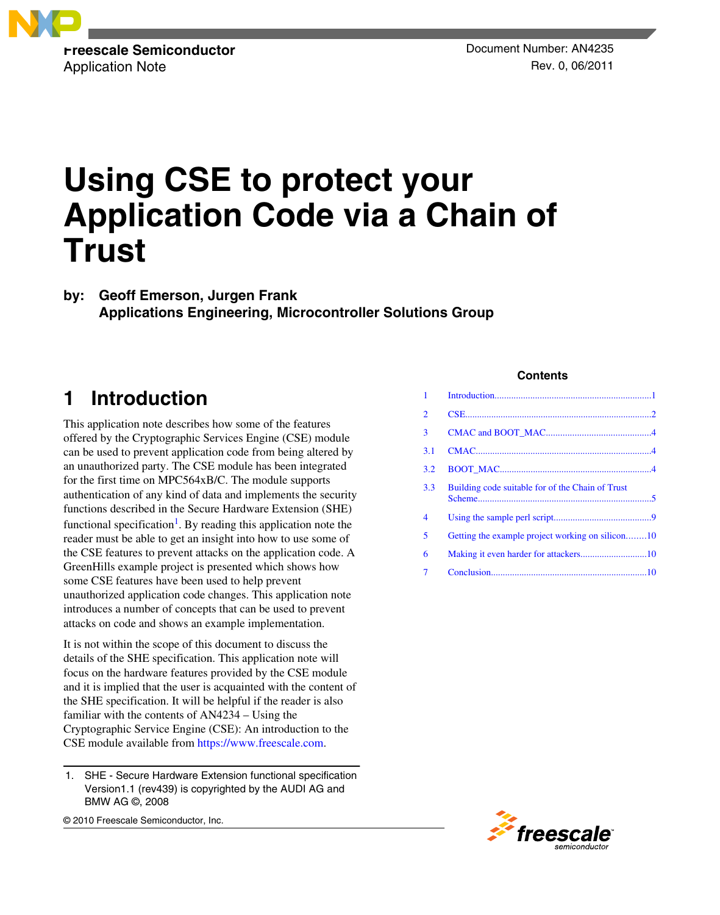

# **Using CSE to protect your Application Code via a Chain of Trust**

**by: Geoff Emerson, Jurgen Frank Applications Engineering, Microcontroller Solutions Group**

# **1 Introduction**

This application note describes how some of the features offered by the Cryptographic Services Engine (CSE) module can be used to prevent application code from being altered by an unauthorized party. The CSE module has been integrated for the first time on MPC564xB/C. The module supports authentication of any kind of data and implements the security functions described in the Secure Hardware Extension (SHE) functional specification<sup>1</sup>. By reading this application note the reader must be able to get an insight into how to use some of the CSE features to prevent attacks on the application code. A GreenHills example project is presented which shows how some CSE features have been used to help prevent unauthorized application code changes. This application note introduces a number of concepts that can be used to prevent attacks on code and shows an example implementation.

It is not within the scope of this document to discuss the details of the SHE specification. This application note will focus on the hardware features provided by the CSE module and it is implied that the user is acquainted with the content of the SHE specification. It will be helpful if the reader is also familiar with the contents of AN4234 – Using the Cryptographic Service Engine (CSE): An introduction to the CSE module available from <https://www.freescale.com>.

© 2010 Freescale Semiconductor, Inc.

### **Contents**

| 1              |                                                  |  |
|----------------|--------------------------------------------------|--|
| 2              |                                                  |  |
| $\overline{3}$ |                                                  |  |
| 3.1            |                                                  |  |
| 3.2            |                                                  |  |
| 3.3            | Building code suitable for of the Chain of Trust |  |
| 4              |                                                  |  |
| 5              | Getting the example project working on silicon10 |  |
| 6              | Making it even harder for attackers10            |  |
| 7              |                                                  |  |



<sup>1.</sup> SHE - Secure Hardware Extension functional specification Version1.1 (rev439) is copyrighted by the AUDI AG and BMW AG ©, 2008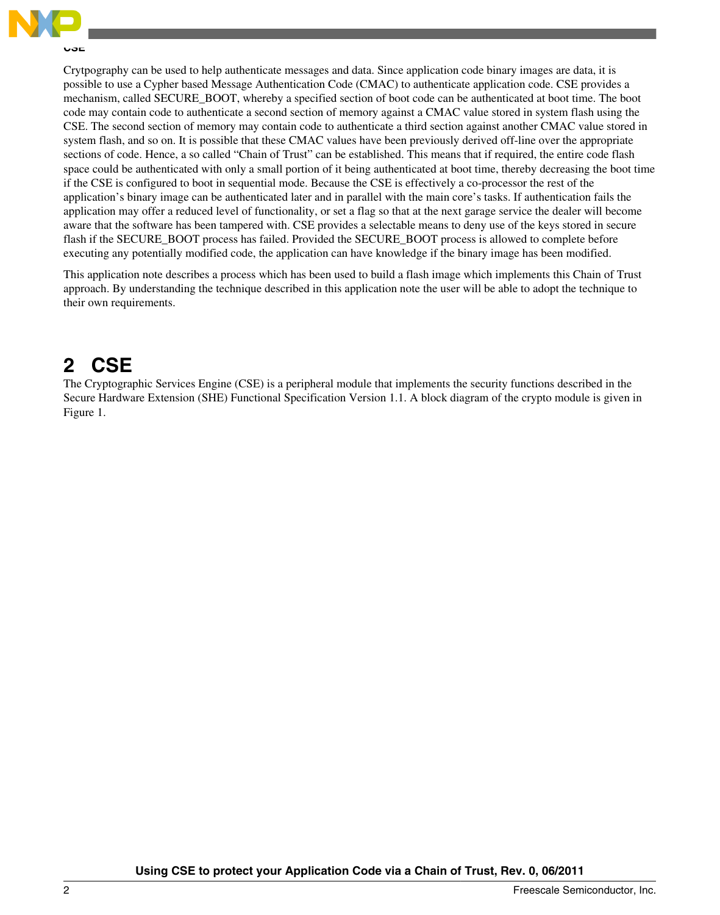<span id="page-1-0"></span>

#### **CSE**

Crytpography can be used to help authenticate messages and data. Since application code binary images are data, it is possible to use a Cypher based Message Authentication Code (CMAC) to authenticate application code. CSE provides a mechanism, called SECURE\_BOOT, whereby a specified section of boot code can be authenticated at boot time. The boot code may contain code to authenticate a second section of memory against a CMAC value stored in system flash using the CSE. The second section of memory may contain code to authenticate a third section against another CMAC value stored in system flash, and so on. It is possible that these CMAC values have been previously derived off-line over the appropriate sections of code. Hence, a so called "Chain of Trust" can be established. This means that if required, the entire code flash space could be authenticated with only a small portion of it being authenticated at boot time, thereby decreasing the boot time if the CSE is configured to boot in sequential mode. Because the CSE is effectively a co-processor the rest of the application's binary image can be authenticated later and in parallel with the main core's tasks. If authentication fails the application may offer a reduced level of functionality, or set a flag so that at the next garage service the dealer will become aware that the software has been tampered with. CSE provides a selectable means to deny use of the keys stored in secure flash if the SECURE\_BOOT process has failed. Provided the SECURE\_BOOT process is allowed to complete before executing any potentially modified code, the application can have knowledge if the binary image has been modified.

This application note describes a process which has been used to build a flash image which implements this Chain of Trust approach. By understanding the technique described in this application note the user will be able to adopt the technique to their own requirements.

# **2 CSE**

The Cryptographic Services Engine (CSE) is a peripheral module that implements the security functions described in the Secure Hardware Extension (SHE) Functional Specification Version 1.1. A block diagram of the crypto module is given in Figure 1.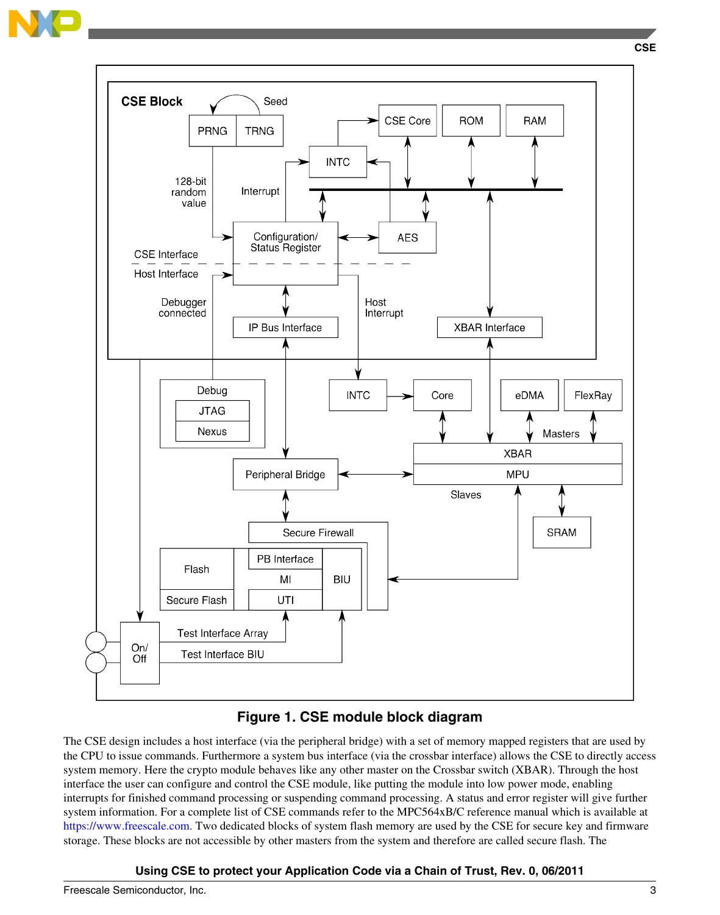



### **Figure 1. CSE module block diagram**

The CSE design includes a host interface (via the peripheral bridge) with a set of memory mapped registers that are used by the CPU to issue commands. Furthermore a system bus interface (via the crossbar interface) allows the CSE to directly access system memory. Here the crypto module behaves like any other master on the Crossbar switch (XBAR). Through the host interface the user can configure and control the CSE module, like putting the module into low power mode, enabling interrupts for finished command processing or suspending command processing. A status and error register will give further system information. For a complete list of CSE commands refer to the MPC564xB/C reference manual which is available at <https://www.freescale.com>. Two dedicated blocks of system flash memory are used by the CSE for secure key and firmware storage. These blocks are not accessible by other masters from the system and therefore are called secure flash. The

### **Using CSE to protect your Application Code via a Chain of Trust, Rev. 0, 06/2011**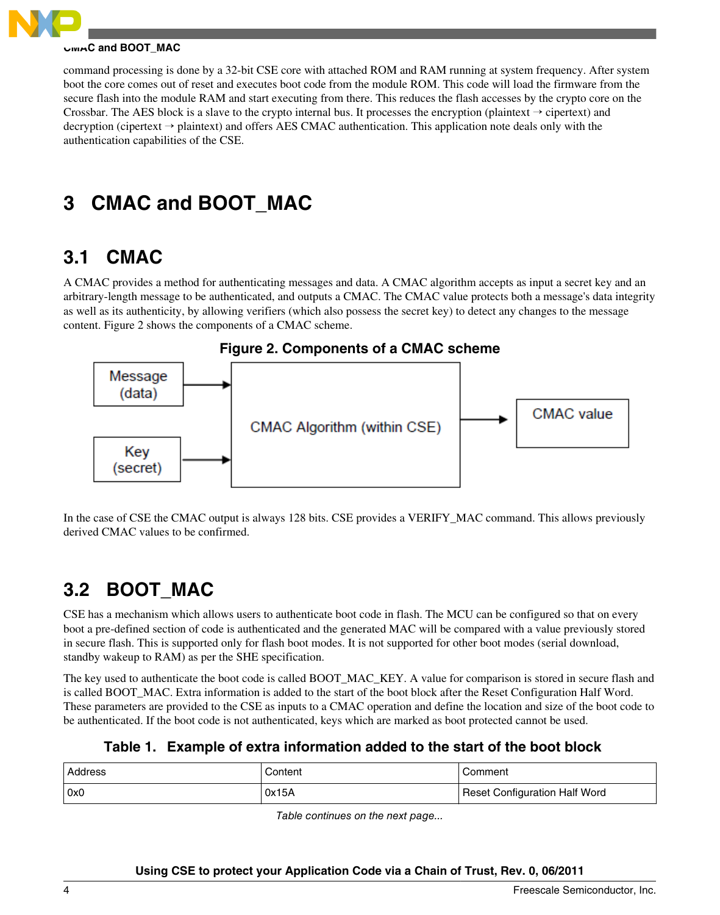<span id="page-3-0"></span>

#### **CMAC and BOOT\_MAC**

command processing is done by a 32-bit CSE core with attached ROM and RAM running at system frequency. After system boot the core comes out of reset and executes boot code from the module ROM. This code will load the firmware from the secure flash into the module RAM and start executing from there. This reduces the flash accesses by the crypto core on the Crossbar. The AES block is a slave to the crypto internal bus. It processes the encryption (plaintext  $\rightarrow$  cipertext) and decryption (cipertext  $\rightarrow$  plaintext) and offers AES CMAC authentication. This application note deals only with the authentication capabilities of the CSE.

# **3 CMAC and BOOT\_MAC**

### **3.1 CMAC**

A CMAC provides a method for authenticating messages and data. A CMAC algorithm accepts as input a secret key and an arbitrary-length message to be authenticated, and outputs a CMAC. The CMAC value protects both a message's data integrity as well as its authenticity, by allowing verifiers (which also possess the secret key) to detect any changes to the message content. Figure 2 shows the components of a CMAC scheme.



In the case of CSE the CMAC output is always 128 bits. CSE provides a VERIFY\_MAC command. This allows previously derived CMAC values to be confirmed.

### **3.2 BOOT\_MAC**

CSE has a mechanism which allows users to authenticate boot code in flash. The MCU can be configured so that on every boot a pre-defined section of code is authenticated and the generated MAC will be compared with a value previously stored in secure flash. This is supported only for flash boot modes. It is not supported for other boot modes (serial download, standby wakeup to RAM) as per the SHE specification.

The key used to authenticate the boot code is called BOOT\_MAC\_KEY. A value for comparison is stored in secure flash and is called BOOT\_MAC. Extra information is added to the start of the boot block after the Reset Configuration Half Word. These parameters are provided to the CSE as inputs to a CMAC operation and define the location and size of the boot code to be authenticated. If the boot code is not authenticated, keys which are marked as boot protected cannot be used.

**Table 1. Example of extra information added to the start of the boot block**

| Address | Content | Comment                       |
|---------|---------|-------------------------------|
| 0x0     | 0x15A   | Reset Configuration Half Word |

*Table continues on the next page...*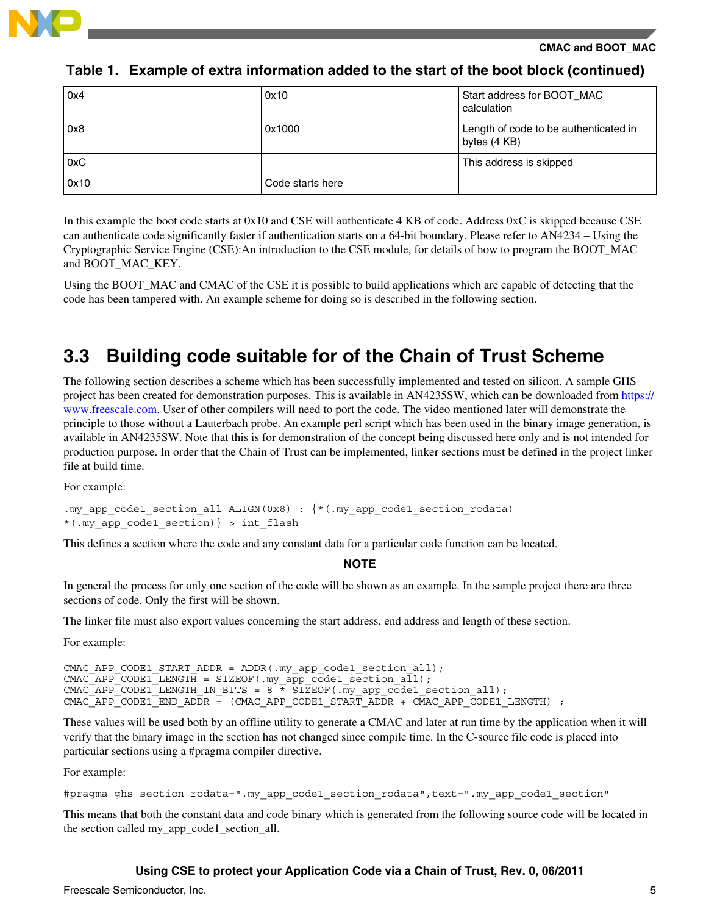<span id="page-4-0"></span>

### **Table 1. Example of extra information added to the start of the boot block (continued)**

| 0x4                          | 0x10             | Start address for BOOT_MAC<br>calculation             |
|------------------------------|------------------|-------------------------------------------------------|
| 0x8                          | 0x1000           | Length of code to be authenticated in<br>bytes (4 KB) |
| $\overline{\phantom{a}}$ 0xC |                  | This address is skipped                               |
| 0x10                         | Code starts here |                                                       |

In this example the boot code starts at 0x10 and CSE will authenticate 4 KB of code. Address 0xC is skipped because CSE can authenticate code significantly faster if authentication starts on a 64-bit boundary. Please refer to AN4234 – Using the Cryptographic Service Engine (CSE):An introduction to the CSE module, for details of how to program the BOOT\_MAC and BOOT\_MAC\_KEY.

Using the BOOT\_MAC and CMAC of the CSE it is possible to build applications which are capable of detecting that the code has been tampered with. An example scheme for doing so is described in the following section.

### **3.3 Building code suitable for of the Chain of Trust Scheme**

The following section describes a scheme which has been successfully implemented and tested on silicon. A sample GHS project has been created for demonstration purposes. This is available in AN4235SW, which can be downloaded from [https://](https://www.freescale.com) [www.freescale.com](https://www.freescale.com). User of other compilers will need to port the code. The video mentioned later will demonstrate the principle to those without a Lauterbach probe. An example perl script which has been used in the binary image generation, is available in AN4235SW. Note that this is for demonstration of the concept being discussed here only and is not intended for production purpose. In order that the Chain of Trust can be implemented, linker sections must be defined in the project linker file at build time.

For example:

.my app code1 section all ALIGN(0x8) :  $\{*(\cdot\text{my app code1 section rodata})\}$ \*(.my\_app\_code1\_section)} > int\_flash

This defines a section where the code and any constant data for a particular code function can be located.

#### **NOTE**

In general the process for only one section of the code will be shown as an example. In the sample project there are three sections of code. Only the first will be shown.

The linker file must also export values concerning the start address, end address and length of these section.

For example:

CMAC\_APP\_CODE1\_START\_ADDR = ADDR(.my\_app\_code1\_section\_all); CMAC\_APP\_CODE1\_LENGTH = SIZEOF(.my\_app\_code1\_section\_all); CMAC<sup> $\overline{APP}$ </sup>CODE1<sup> $\overline{LRN}$ GTH IN BITS = 8  $\overline{*}$  SIZEOF(.my app code1 section all);</sup>  $CMAC$   $APP$   $CODE1$   $ENDR$   $=$   $(CMAC$   $APP$   $CODE1$   $STATE$   $ADDR$   $+$   $CMAC$   $APP$   $CODE1$   $LENGTH$   $;$ 

These values will be used both by an offline utility to generate a CMAC and later at run time by the application when it will verify that the binary image in the section has not changed since compile time. In the C-source file code is placed into particular sections using a #pragma compiler directive.

For example:

#pragma ghs section rodata=".my app code1 section rodata", text=".my app code1 section"

This means that both the constant data and code binary which is generated from the following source code will be located in the section called my\_app\_code1\_section\_all.

### **Using CSE to protect your Application Code via a Chain of Trust, Rev. 0, 06/2011**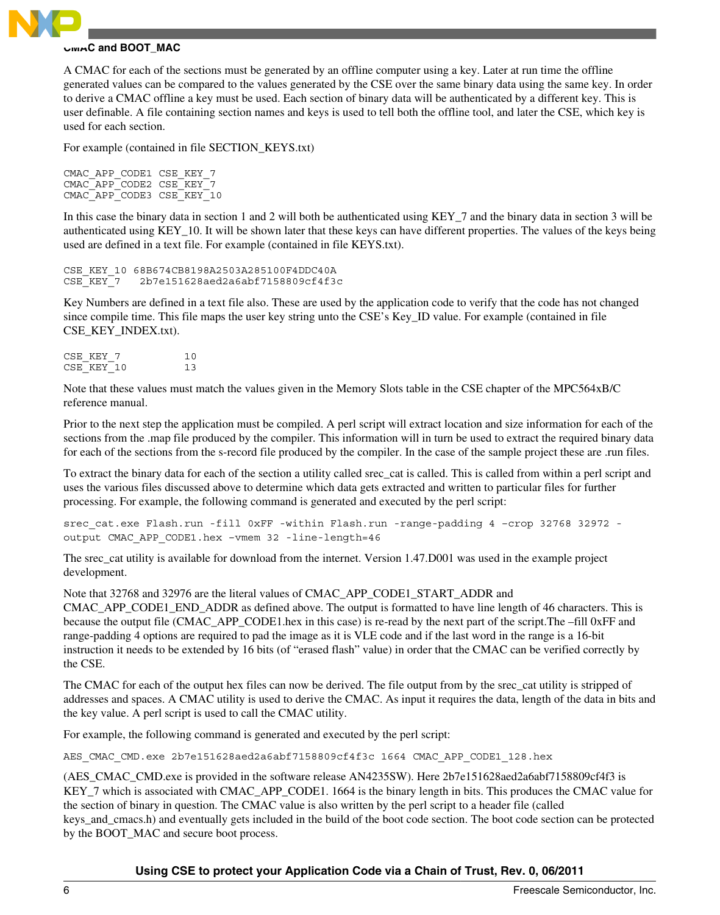

#### **CMAC and BOOT\_MAC**

A CMAC for each of the sections must be generated by an offline computer using a key. Later at run time the offline generated values can be compared to the values generated by the CSE over the same binary data using the same key. In order to derive a CMAC offline a key must be used. Each section of binary data will be authenticated by a different key. This is user definable. A file containing section names and keys is used to tell both the offline tool, and later the CSE, which key is used for each section.

For example (contained in file SECTION\_KEYS.txt)

```
CMAC_APP_CODE1 CSE_KEY_7
CMAC_APP_CODE2 CSE_KEY_7
CMAC_APP_CODE3 CSE_KEY_10
```
In this case the binary data in section 1 and 2 will both be authenticated using KEY\_7 and the binary data in section 3 will be authenticated using KEY\_10. It will be shown later that these keys can have different properties. The values of the keys being used are defined in a text file. For example (contained in file KEYS.txt).

```
CSE_KEY_10 68B674CB8198A2503A285100F4DDC40A
CSE_KEY_7 2b7e151628aed2a6abf7158809cf4f3c
```
Key Numbers are defined in a text file also. These are used by the application code to verify that the code has not changed since compile time. This file maps the user key string unto the CSE's Key\_ID value. For example (contained in file CSE\_KEY\_INDEX.txt).

| CSE KEY 7  |  | 1 O |
|------------|--|-----|
| CSE KEY 10 |  | 1 3 |

Note that these values must match the values given in the Memory Slots table in the CSE chapter of the MPC564xB/C reference manual.

Prior to the next step the application must be compiled. A perl script will extract location and size information for each of the sections from the .map file produced by the compiler. This information will in turn be used to extract the required binary data for each of the sections from the s-record file produced by the compiler. In the case of the sample project these are .run files.

To extract the binary data for each of the section a utility called srec\_cat is called. This is called from within a perl script and uses the various files discussed above to determine which data gets extracted and written to particular files for further processing. For example, the following command is generated and executed by the perl script:

```
srec cat.exe Flash.run -fill 0xFF -within Flash.run -range-padding 4 -crop 32768 32972 -
output CMAC_APP_CODE1.hex –vmem 32 -line-length=46
```
The srec\_cat utility is available for download from the internet. Version 1.47.D001 was used in the example project development.

Note that 32768 and 32976 are the literal values of CMAC\_APP\_CODE1\_START\_ADDR and CMAC\_APP\_CODE1\_END\_ADDR as defined above. The output is formatted to have line length of 46 characters. This is because the output file (CMAC\_APP\_CODE1.hex in this case) is re-read by the next part of the script.The –fill 0xFF and range-padding 4 options are required to pad the image as it is VLE code and if the last word in the range is a 16-bit instruction it needs to be extended by 16 bits (of "erased flash" value) in order that the CMAC can be verified correctly by the CSE.

The CMAC for each of the output hex files can now be derived. The file output from by the srec\_cat utility is stripped of addresses and spaces. A CMAC utility is used to derive the CMAC. As input it requires the data, length of the data in bits and the key value. A perl script is used to call the CMAC utility.

For example, the following command is generated and executed by the perl script:

AES CMAC CMD.exe 2b7e151628aed2a6abf7158809cf4f3c 1664 CMAC APP CODE1 128.hex

(AES\_CMAC\_CMD.exe is provided in the software release AN4235SW). Here 2b7e151628aed2a6abf7158809cf4f3 is KEY\_7 which is associated with CMAC\_APP\_CODE1. 1664 is the binary length in bits. This produces the CMAC value for the section of binary in question. The CMAC value is also written by the perl script to a header file (called keys\_and\_cmacs.h) and eventually gets included in the build of the boot code section. The boot code section can be protected by the BOOT\_MAC and secure boot process.

### **Using CSE to protect your Application Code via a Chain of Trust, Rev. 0, 06/2011**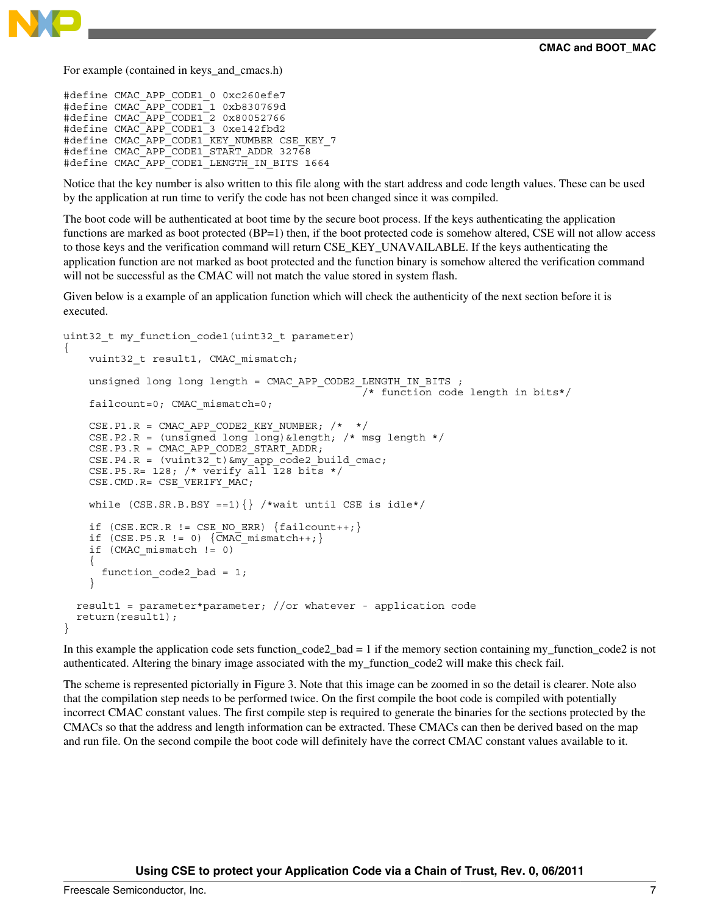

For example (contained in keys\_and\_cmacs.h)

```
#define CMAC APP CODE1 0 0xc260efe7
#define CMAC APP CODE1 1 0xb830769d
#define CMAC APP CODE1 2 0x80052766
#define CMAC_APP_CODE1_3 0xe142fbd2 
#define CMAC_APP_CODE1_KEY_NUMBER CSE_KEY_7
#define CMAC_APP_CODE1_START_ADDR 32768
#define CMAC_APP_CODE1_LENGTH_IN_BITS 1664
```
Notice that the key number is also written to this file along with the start address and code length values. These can be used by the application at run time to verify the code has not been changed since it was compiled.

The boot code will be authenticated at boot time by the secure boot process. If the keys authenticating the application functions are marked as boot protected (BP=1) then, if the boot protected code is somehow altered, CSE will not allow access to those keys and the verification command will return CSE\_KEY\_UNAVAILABLE. If the keys authenticating the application function are not marked as boot protected and the function binary is somehow altered the verification command will not be successful as the CMAC will not match the value stored in system flash.

Given below is a example of an application function which will check the authenticity of the next section before it is executed.

```
uint32_t my_function_code1(uint32_t parameter)
{
    vuint32 t result1, CMAC mismatch;
    unsigned long long length = CMAC APP CODE2 LENGTH IN BITS ;
                                                   /* function code length in bits*/
    failcount=0; CMAC mismatch=0;
    CSE.P1.R = CMAC APP CODE2 KEY_NUMBER; /* */
    CSE.P2.R = (unsigned long long) \& length; /* msg length */CSE.P3.R = CMAC APP CODE2 START ADDR;
     CSE.P4.R = (vuint32_t)&my_app_code2_build_cmac;
    CSE.P5.R= 128; /* verify all \overline{1}28 bits */
     CSE.CMD.R= CSE_VERIFY_MAC; 
    while (CSE.SR.B.SSY ==1) /*wait until CSE is idle*/
    if (CSE.ECR.R != CSE NO ERR) {failcount++;}if (CSE.P5.R != 0) \{CMAC \text{ mismatch++;}\} if (CMAC_mismatch != 0)
     {
      function code2 bad = 1; }
   result1 = parameter*parameter; //or whatever - application code
   return(result1);
}
```
In this example the application code sets function  $\csc 2$  bad = 1 if the memory section containing my function  $\csc 2$  is not authenticated. Altering the binary image associated with the my\_function\_code2 will make this check fail.

The scheme is represented pictorially in Figure 3. Note that this image can be zoomed in so the detail is clearer. Note also that the compilation step needs to be performed twice. On the first compile the boot code is compiled with potentially incorrect CMAC constant values. The first compile step is required to generate the binaries for the sections protected by the CMACs so that the address and length information can be extracted. These CMACs can then be derived based on the map and run file. On the second compile the boot code will definitely have the correct CMAC constant values available to it.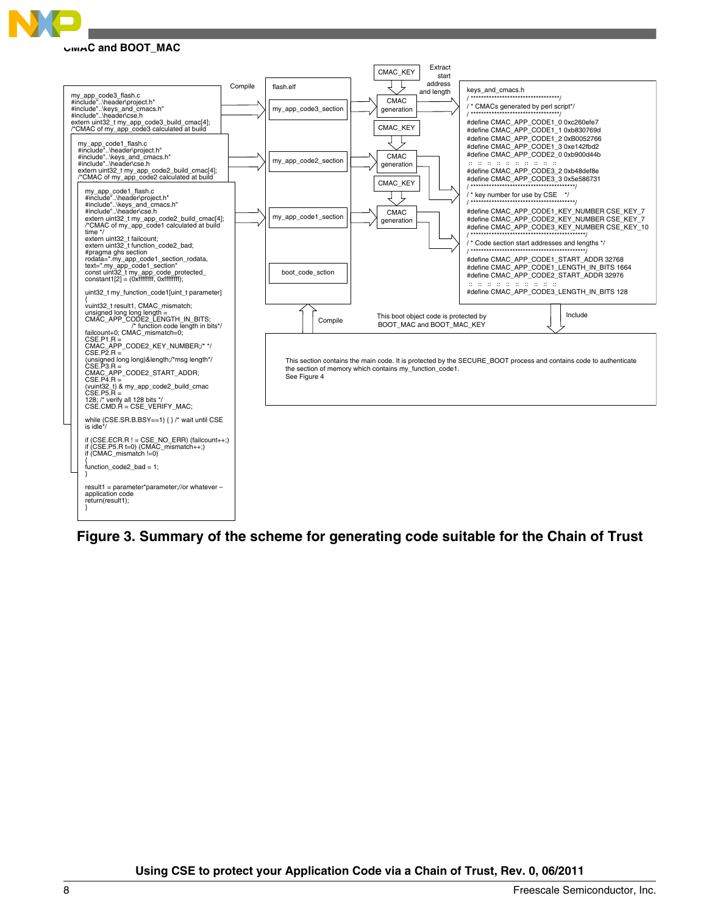### **CMAC and BOOT\_MAC**



**Figure 3. Summary of the scheme for generating code suitable for the Chain of Trust**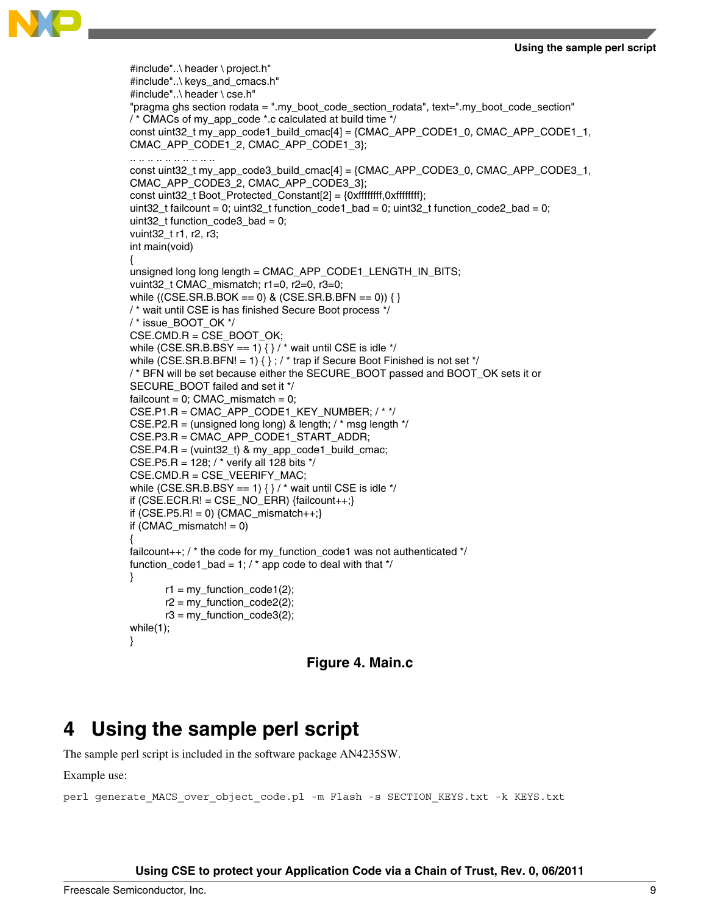```
#include"..\ header \ project.h"
#include"..\ keys_and_cmacs.h"
#include"..\ header \ cse.h"
"pragma ghs section rodata = ".my_boot_code_section_rodata", text=".my_boot_code_section"
/* CMACs of my_app_code *.c calculated at build time */
const uint32_t my_app_code1_build_cmac[4] = {CMAC_APP_CODE1_0, CMAC_APP_CODE1_1,
CMAC_APP_CODE1_2, CMAC_APP_CODE1_3};
.. .. .. .. .. .. .. .. .. ..
const uint32 t my_app_code3_build_cmac[4] = {CMAC_APP_CODE3_0, CMAC_APP_CODE3_1,
CMAC_APP_CODE3_2, CMAC_APP_CODE3_3};
const uint32_t Boot_Protected_Constant[2] = {0xffffffff,0xffffffff};
uint32_t failcount = 0; uint32_t function_code1_bad = 0; uint32_t function_code2_bad = 0;
uint32_t function_code3_bad = 0;
vuint32_t r1, r2, r3;
int main(void)
{
unsigned long long length = CMAC_APP_CODE1_LENGTH_IN_BITS;
vuint32_t CMAC_mismatch; r1=0, r2=0, r3=0;
while ((CSE.SR.BBOK == 0) & (CSE.SR.BBFN == 0)) { }
/ * wait until CSE is has finished Secure Boot process */
/ * issue_BOOT_OK */
CSE.CMD.R = CSE_BOOT_OK;
while (CSE.SR.B.BSY == 1) \{\} / * wait until CSE is idle */
while (CSE.SR.B.BFN! = 1) \{\}; / * trap if Secure Boot Finished is not set */
/ * BFN will be set because either the SECURE_BOOT passed and BOOT_OK sets it or
SECURE_BOOT failed and set it */
failcount = 0; CMAC_mismatch = 0;
CSE.P1.R = CMAC APP CODE1 KEY NUMBER; / * */
CSE.P2.R = (unsigned long long) & length; \prime * msg length \primeCSE.P3.R = CMAC_APP_CODE1_START_ADDR;
CSE.P4.R = (vuint32_t) & my_app_code1_build_cmac;
CSE.P5.R = 128; / * verify all 128 bits */
CSE.CMD.R = CSE_VEERIFY_MAC;
while (CSE.SR.B.BSY == 1) \{\} / * wait until CSE is idle */
if (CSE.ECR.R! = CSE_NO_{ERR}) {failcount++;}
if (CSE.P5.R! = 0) \{CMAC\_mismatch++;\}if (CMAC\_mismatch! = 0){
failcount++; \prime * the code for my function code1 was not authenticated \primefunction_code1_bad = 1; \prime * app code to deal with that \prime}
       r1 = my_function\_code1(2);r2 = my function code2(2);
       r3 = my_function_coded(2);while(1);
}
```


# **4 Using the sample perl script**

The sample perl script is included in the software package AN4235SW.

Example use:

```
perl generate MACS over object code.pl -m Flash -s SECTION KEYS.txt -k KEYS.txt
```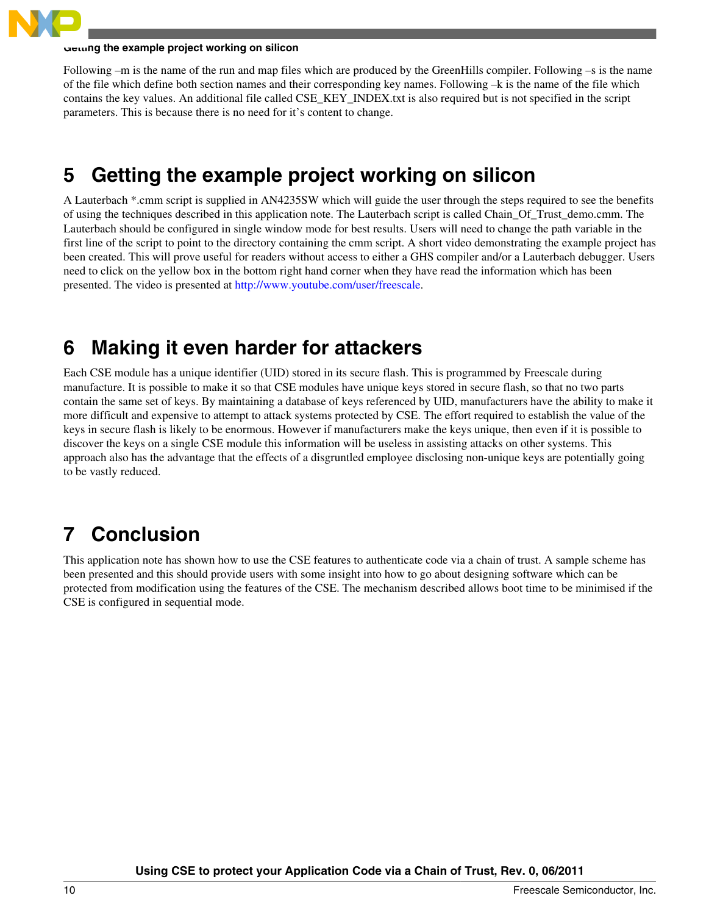<span id="page-9-0"></span>

#### **Getting the example project working on silicon**

Following –m is the name of the run and map files which are produced by the GreenHills compiler. Following –s is the name of the file which define both section names and their corresponding key names. Following –k is the name of the file which contains the key values. An additional file called CSE\_KEY\_INDEX.txt is also required but is not specified in the script parameters. This is because there is no need for it's content to change.

# **5 Getting the example project working on silicon**

A Lauterbach \*.cmm script is supplied in AN4235SW which will guide the user through the steps required to see the benefits of using the techniques described in this application note. The Lauterbach script is called Chain\_Of\_Trust\_demo.cmm. The Lauterbach should be configured in single window mode for best results. Users will need to change the path variable in the first line of the script to point to the directory containing the cmm script. A short video demonstrating the example project has been created. This will prove useful for readers without access to either a GHS compiler and/or a Lauterbach debugger. Users need to click on the yellow box in the bottom right hand corner when they have read the information which has been presented. The video is presented at [http://www.youtube.com/user/freescale.](http://www.youtube.com/user/freescale)

# **6 Making it even harder for attackers**

Each CSE module has a unique identifier (UID) stored in its secure flash. This is programmed by Freescale during manufacture. It is possible to make it so that CSE modules have unique keys stored in secure flash, so that no two parts contain the same set of keys. By maintaining a database of keys referenced by UID, manufacturers have the ability to make it more difficult and expensive to attempt to attack systems protected by CSE. The effort required to establish the value of the keys in secure flash is likely to be enormous. However if manufacturers make the keys unique, then even if it is possible to discover the keys on a single CSE module this information will be useless in assisting attacks on other systems. This approach also has the advantage that the effects of a disgruntled employee disclosing non-unique keys are potentially going to be vastly reduced.

# **7 Conclusion**

This application note has shown how to use the CSE features to authenticate code via a chain of trust. A sample scheme has been presented and this should provide users with some insight into how to go about designing software which can be protected from modification using the features of the CSE. The mechanism described allows boot time to be minimised if the CSE is configured in sequential mode.